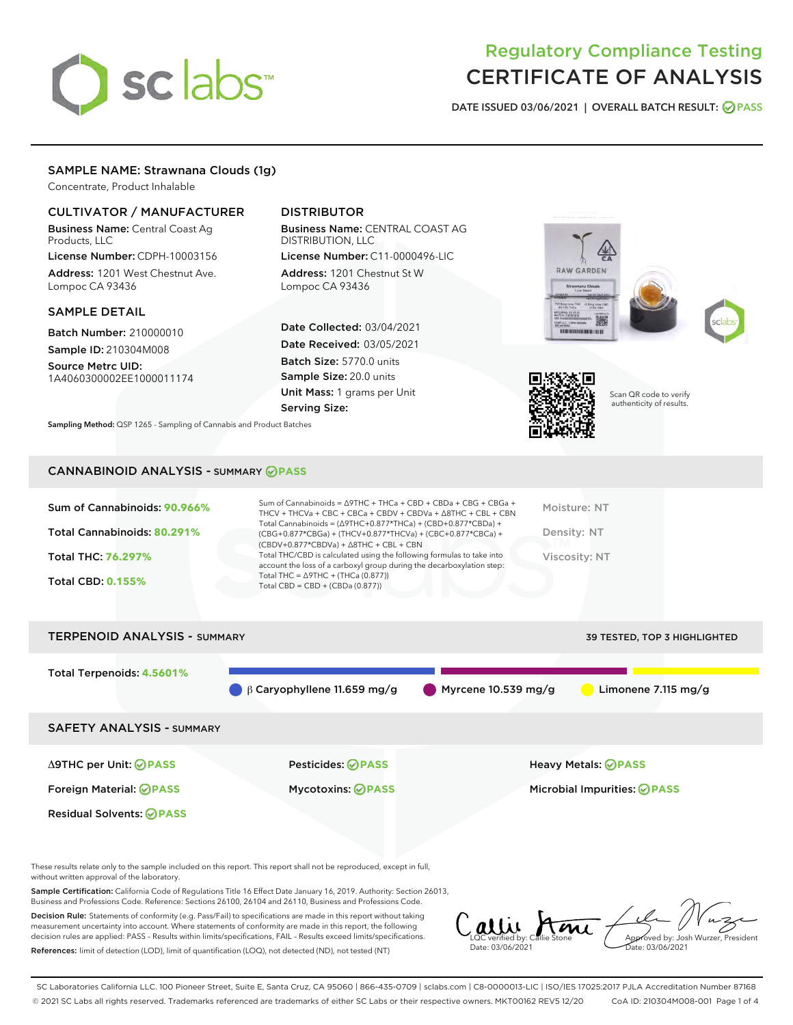# sclabs<sup>\*</sup>

# Regulatory Compliance Testing CERTIFICATE OF ANALYSIS

DATE ISSUED 03/06/2021 | OVERALL BATCH RESULT: @ PASS

# SAMPLE NAME: Strawnana Clouds (1g)

Concentrate, Product Inhalable

# CULTIVATOR / MANUFACTURER

Business Name: Central Coast Ag Products, LLC

License Number: CDPH-10003156 Address: 1201 West Chestnut Ave. Lompoc CA 93436

#### SAMPLE DETAIL

Batch Number: 210000010 Sample ID: 210304M008

Source Metrc UID: 1A4060300002EE1000011174

Residual Solvents: **OPASS** 

# DISTRIBUTOR

Business Name: CENTRAL COAST AG DISTRIBUTION, LLC

License Number: C11-0000496-LIC Address: 1201 Chestnut St W Lompoc CA 93436

Date Collected: 03/04/2021 Date Received: 03/05/2021 Batch Size: 5770.0 units Sample Size: 20.0 units Unit Mass: 1 grams per Unit Serving Size:





Scan QR code to verify authenticity of results.

Sampling Method: QSP 1265 - Sampling of Cannabis and Product Batches

# CANNABINOID ANALYSIS - SUMMARY **PASS**

| Sum of Cannabinoids: 90.966% | Sum of Cannabinoids = $\triangle$ 9THC + THCa + CBD + CBDa + CBG + CBGa +<br>THCV + THCVa + CBC + CBCa + CBDV + CBDVa + $\Delta$ 8THC + CBL + CBN                                        | Moisture: NT  |
|------------------------------|------------------------------------------------------------------------------------------------------------------------------------------------------------------------------------------|---------------|
| Total Cannabinoids: 80.291%  | Total Cannabinoids = $(\Delta 9THC + 0.877*THCa) + (CBD + 0.877*CBDa) +$<br>(CBG+0.877*CBGa) + (THCV+0.877*THCVa) + (CBC+0.877*CBCa) +<br>$(CBDV+0.877*CBDVa) + \Delta 8THC + CBL + CBN$ | Density: NT   |
| <b>Total THC: 76.297%</b>    | Total THC/CBD is calculated using the following formulas to take into<br>account the loss of a carboxyl group during the decarboxylation step:                                           | Viscosity: NT |
| <b>Total CBD: 0.155%</b>     | Total THC = $\triangle$ 9THC + (THCa (0.877))<br>Total CBD = CBD + (CBDa $(0.877)$ )                                                                                                     |               |
|                              |                                                                                                                                                                                          |               |

| <b>TERPENOID ANALYSIS - SUMMARY</b>                      |                                                      | 39 TESTED, TOP 3 HIGHLIGHTED                                     |
|----------------------------------------------------------|------------------------------------------------------|------------------------------------------------------------------|
| Total Terpenoids: 4.5601%                                | $\beta$ Caryophyllene 11.659 mg/g                    | $\blacksquare$ Myrcene 10.539 mg/g<br>Limonene 7.115 mg/g        |
| <b>SAFETY ANALYSIS - SUMMARY</b>                         |                                                      |                                                                  |
| ∆9THC per Unit: ⊘PASS<br>Foreign Material: <b>⊘ PASS</b> | <b>Pesticides: ⊘PASS</b><br><b>Mycotoxins: ⊘PASS</b> | Heavy Metals: <b>OPASS</b><br>Microbial Impurities: <b>OPASS</b> |

These results relate only to the sample included on this report. This report shall not be reproduced, except in full, without written approval of the laboratory.

Sample Certification: California Code of Regulations Title 16 Effect Date January 16, 2019. Authority: Section 26013, Business and Professions Code. Reference: Sections 26100, 26104 and 26110, Business and Professions Code.

Decision Rule: Statements of conformity (e.g. Pass/Fail) to specifications are made in this report without taking measurement uncertainty into account. Where statements of conformity are made in this report, the following decision rules are applied: PASS – Results within limits/specifications, FAIL – Results exceed limits/specifications. References: limit of detection (LOD), limit of quantification (LOQ), not detected (ND), not tested (NT)

Callie have de Date: 03/06/2021 Approved by: Josh Wurzer, President ate: 03/06/2021

SC Laboratories California LLC. 100 Pioneer Street, Suite E, Santa Cruz, CA 95060 | 866-435-0709 | sclabs.com | C8-0000013-LIC | ISO/IES 17025:2017 PJLA Accreditation Number 87168 © 2021 SC Labs all rights reserved. Trademarks referenced are trademarks of either SC Labs or their respective owners. MKT00162 REV5 12/20 CoA ID: 210304M008-001 Page 1 of 4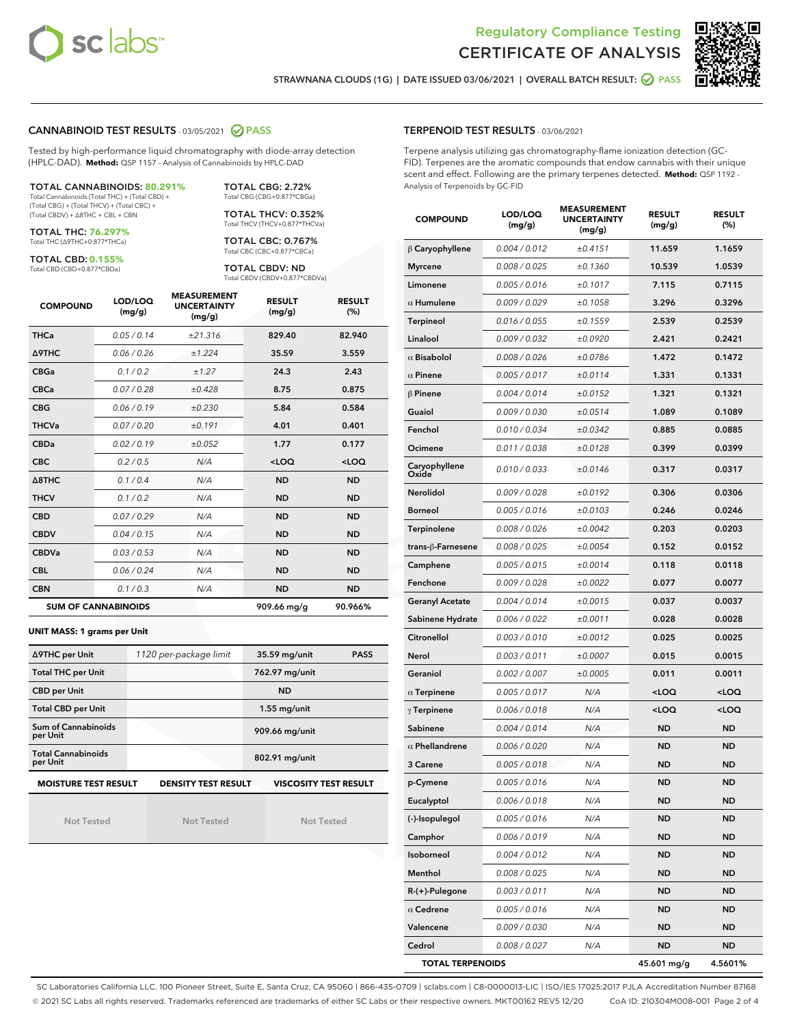



STRAWNANA CLOUDS (1G) | DATE ISSUED 03/06/2021 | OVERALL BATCH RESULT: @ PASS

# CANNABINOID TEST RESULTS - 03/05/2021 2 PASS

Tested by high-performance liquid chromatography with diode-array detection (HPLC-DAD). **Method:** QSP 1157 - Analysis of Cannabinoids by HPLC-DAD

TOTAL CANNABINOIDS: **80.291%** Total Cannabinoids (Total THC) + (Total CBD) + (Total CBG) + (Total THCV) + (Total CBC) + (Total CBDV) + ∆8THC + CBL + CBN

TOTAL THC: **76.297%**

Total THC (∆9THC+0.877\*THCa)

TOTAL CBD: **0.155%** Total CBD (CBD+0.877\*CBDa)

Total CBG (CBG+0.877\*CBGa) TOTAL THCV: 0.352% Total THCV (THCV+0.877\*THCVa)

TOTAL CBG: 2.72%

TOTAL CBC: 0.767% Total CBC (CBC+0.877\*CBCa)

TOTAL CBDV: ND Total CBDV (CBDV+0.877\*CBDVa)

| <b>COMPOUND</b>            | LOD/LOQ<br>(mg/g) | <b>MEASUREMENT</b><br><b>UNCERTAINTY</b><br>(mg/g) | <b>RESULT</b><br>(mg/g) | <b>RESULT</b><br>(%) |
|----------------------------|-------------------|----------------------------------------------------|-------------------------|----------------------|
| <b>THCa</b>                | 0.05/0.14         | ±21.316                                            | 829.40                  | 82.940               |
| <b>A9THC</b>               | 0.06/0.26         | ±1.224                                             | 35.59                   | 3.559                |
| <b>CBGa</b>                | 0.1 / 0.2         | ±1.27                                              | 24.3                    | 2.43                 |
| <b>CBCa</b>                | 0.07/0.28         | ±0.428                                             | 8.75                    | 0.875                |
| <b>CBG</b>                 | 0.06/0.19         | ±0.230                                             | 5.84                    | 0.584                |
| <b>THCVa</b>               | 0.07/0.20         | ±0.191                                             | 4.01                    | 0.401                |
| <b>CBDa</b>                | 0.02/0.19         | ±0.052                                             | 1.77                    | 0.177                |
| <b>CBC</b>                 | 0.2 / 0.5         | N/A                                                | $<$ LOQ                 | $<$ LOQ              |
| $\triangle$ 8THC           | 0.1/0.4           | N/A                                                | <b>ND</b>               | <b>ND</b>            |
| <b>THCV</b>                | 0.1 / 0.2         | N/A                                                | <b>ND</b>               | <b>ND</b>            |
| <b>CBD</b>                 | 0.07/0.29         | N/A                                                | <b>ND</b>               | <b>ND</b>            |
| <b>CBDV</b>                | 0.04/0.15         | N/A                                                | <b>ND</b>               | <b>ND</b>            |
| <b>CBDVa</b>               | 0.03 / 0.53       | N/A                                                | <b>ND</b>               | <b>ND</b>            |
| <b>CBL</b>                 | 0.06 / 0.24       | N/A                                                | <b>ND</b>               | <b>ND</b>            |
| <b>CBN</b>                 | 0.1/0.3           | N/A                                                | <b>ND</b>               | <b>ND</b>            |
| <b>SUM OF CANNABINOIDS</b> |                   |                                                    | 909.66 mg/g             | 90.966%              |

#### **UNIT MASS: 1 grams per Unit**

| ∆9THC per Unit                         | 1120 per-package limit | 35.59 mg/unit<br><b>PASS</b> |
|----------------------------------------|------------------------|------------------------------|
| <b>Total THC per Unit</b>              |                        | 762.97 mg/unit               |
| <b>CBD per Unit</b>                    |                        | <b>ND</b>                    |
| <b>Total CBD per Unit</b>              |                        | $1.55$ mg/unit               |
| <b>Sum of Cannabinoids</b><br>per Unit |                        | 909.66 mg/unit               |
| <b>Total Cannabinoids</b><br>per Unit  |                        | 802.91 mg/unit               |
| <b>MOISTURE TEST RESULT</b>            | DENSITY TEST RESULT    | <b>VISCOSITY TEST RESULT</b> |

Not Tested

**MOISTURE TEST RESULT**

Not Tested

Not Tested

#### TERPENOID TEST RESULTS - 03/06/2021

Terpene analysis utilizing gas chromatography-flame ionization detection (GC-FID). Terpenes are the aromatic compounds that endow cannabis with their unique scent and effect. Following are the primary terpenes detected. **Method:** QSP 1192 - Analysis of Terpenoids by GC-FID

| <b>COMPOUND</b>         | LOD/LOQ<br>(mg/g) | <b>MEASUREMENT</b><br><b>UNCERTAINTY</b><br>(mg/g) | <b>RESULT</b><br>(mg/g)                         | <b>RESULT</b><br>$(\%)$ |
|-------------------------|-------------------|----------------------------------------------------|-------------------------------------------------|-------------------------|
| $\beta$ Caryophyllene   | 0.004 / 0.012     | ±0.4151                                            | 11.659                                          | 1.1659                  |
| <b>Myrcene</b>          | 0.008 / 0.025     | ±0.1360                                            | 10.539                                          | 1.0539                  |
| Limonene                | 0.005 / 0.016     | ±0.1017                                            | 7.115                                           | 0.7115                  |
| $\alpha$ Humulene       | 0.009 / 0.029     | ±0.1058                                            | 3.296                                           | 0.3296                  |
| Terpineol               | 0.016 / 0.055     | ±0.1559                                            | 2.539                                           | 0.2539                  |
| Linalool                | 0.009 / 0.032     | ±0.0920                                            | 2.421                                           | 0.2421                  |
| $\alpha$ Bisabolol      | 0.008 / 0.026     | ±0.0786                                            | 1.472                                           | 0.1472                  |
| $\alpha$ Pinene         | 0.005 / 0.017     | ±0.0114                                            | 1.331                                           | 0.1331                  |
| $\beta$ Pinene          | 0.004 / 0.014     | ±0.0152                                            | 1.321                                           | 0.1321                  |
| Guaiol                  | 0.009 / 0.030     | ±0.0514                                            | 1.089                                           | 0.1089                  |
| Fenchol                 | 0.010 / 0.034     | ±0.0342                                            | 0.885                                           | 0.0885                  |
| Ocimene                 | 0.011 / 0.038     | ±0.0128                                            | 0.399                                           | 0.0399                  |
| Caryophyllene<br>Oxide  | 0.010 / 0.033     | ±0.0146                                            | 0.317                                           | 0.0317                  |
| Nerolidol               | 0.009 / 0.028     | ±0.0192                                            | 0.306                                           | 0.0306                  |
| <b>Borneol</b>          | 0.005 / 0.016     | ±0.0103                                            | 0.246                                           | 0.0246                  |
| Terpinolene             | 0.008 / 0.026     | ±0.0042                                            | 0.203                                           | 0.0203                  |
| trans-β-Farnesene       | 0.008 / 0.025     | ±0.0054                                            | 0.152                                           | 0.0152                  |
| Camphene                | 0.005 / 0.015     | ±0.0014                                            | 0.118                                           | 0.0118                  |
| Fenchone                | 0.009 / 0.028     | ±0.0022                                            | 0.077                                           | 0.0077                  |
| <b>Geranyl Acetate</b>  | 0.004 / 0.014     | ±0.0015                                            | 0.037                                           | 0.0037                  |
| Sabinene Hydrate        | 0.006 / 0.022     | ±0.0011                                            | 0.028                                           | 0.0028                  |
| Citronellol             | 0.003 / 0.010     | ±0.0012                                            | 0.025                                           | 0.0025                  |
| Nerol                   | 0.003 / 0.011     | ±0.0007                                            | 0.015                                           | 0.0015                  |
| Geraniol                | 0.002 / 0.007     | ±0.0005                                            | 0.011                                           | 0.0011                  |
| $\alpha$ Terpinene      | 0.005 / 0.017     | N/A                                                | <loq< th=""><th><loq< th=""></loq<></th></loq<> | <loq< th=""></loq<>     |
| $\gamma$ Terpinene      | 0.006 / 0.018     | N/A                                                | <loq< th=""><th><loq< th=""></loq<></th></loq<> | <loq< th=""></loq<>     |
| Sabinene                | 0.004 / 0.014     | N/A                                                | <b>ND</b>                                       | ND                      |
| $\alpha$ Phellandrene   | 0.006 / 0.020     | N/A                                                | <b>ND</b>                                       | ND                      |
| 3 Carene                | 0.005 / 0.018     | N/A                                                | ND                                              | ND                      |
| p-Cymene                | 0.005/0.016       | N/A                                                | <b>ND</b>                                       | ND                      |
| Eucalyptol              | 0.006 / 0.018     | N/A                                                | ND                                              | ND                      |
| (-)-Isopulegol          | 0.005 / 0.016     | N/A                                                | ND                                              | ND                      |
| Camphor                 | 0.006 / 0.019     | N/A                                                | ND                                              | ND                      |
| Isoborneol              | 0.004 / 0.012     | N/A                                                | ND                                              | ND                      |
| Menthol                 | 0.008 / 0.025     | N/A                                                | ND                                              | ND                      |
| R-(+)-Pulegone          | 0.003 / 0.011     | N/A                                                | ND                                              | ND                      |
| $\alpha$ Cedrene        | 0.005 / 0.016     | N/A                                                | ND                                              | ND                      |
| Valencene               | 0.009 / 0.030     | N/A                                                | ND                                              | ND                      |
| Cedrol                  | 0.008 / 0.027     | N/A                                                | ND                                              | ND                      |
| <b>TOTAL TERPENOIDS</b> |                   |                                                    | 45.601 mg/g                                     | 4.5601%                 |

SC Laboratories California LLC. 100 Pioneer Street, Suite E, Santa Cruz, CA 95060 | 866-435-0709 | sclabs.com | C8-0000013-LIC | ISO/IES 17025:2017 PJLA Accreditation Number 87168 © 2021 SC Labs all rights reserved. Trademarks referenced are trademarks of either SC Labs or their respective owners. MKT00162 REV5 12/20 CoA ID: 210304M008-001 Page 2 of 4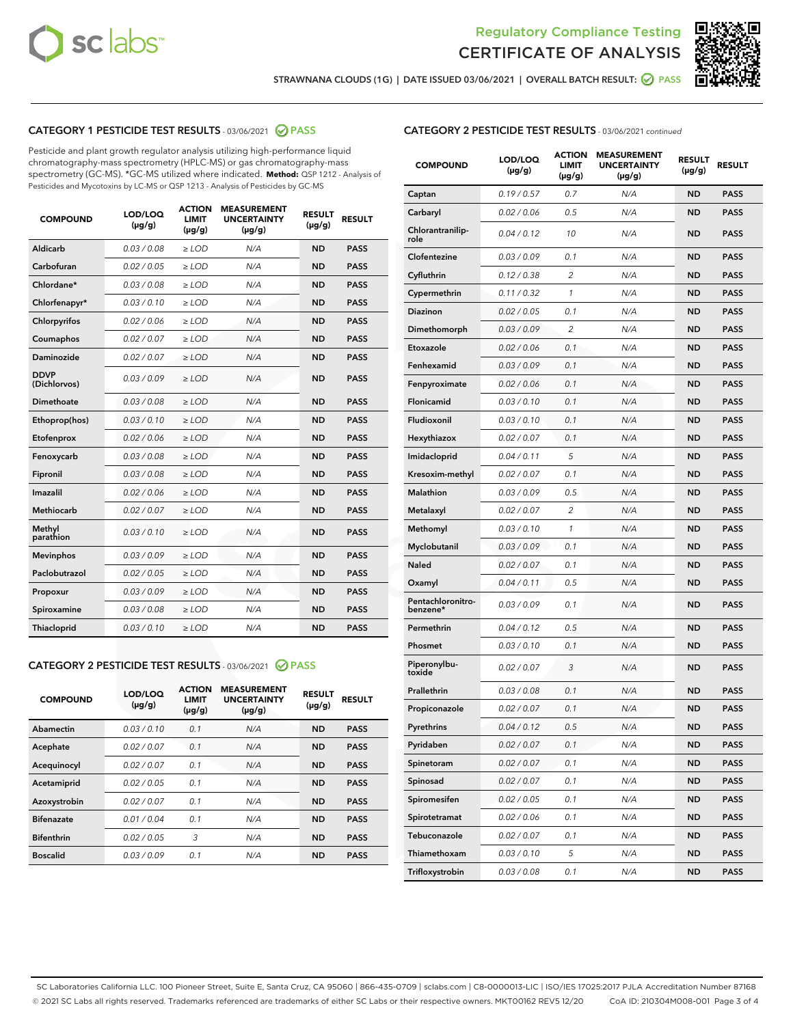



STRAWNANA CLOUDS (1G) | DATE ISSUED 03/06/2021 | OVERALL BATCH RESULT: @ PASS

# CATEGORY 1 PESTICIDE TEST RESULTS - 03/06/2021 @ PASS

Pesticide and plant growth regulator analysis utilizing high-performance liquid chromatography-mass spectrometry (HPLC-MS) or gas chromatography-mass spectrometry (GC-MS). \*GC-MS utilized where indicated. **Method:** QSP 1212 - Analysis of Pesticides and Mycotoxins by LC-MS or QSP 1213 - Analysis of Pesticides by GC-MS

| <b>COMPOUND</b>             | LOD/LOQ<br>$(\mu g/g)$ | <b>ACTION</b><br>LIMIT<br>$(\mu g/g)$ | <b>MEASUREMENT</b><br><b>UNCERTAINTY</b><br>$(\mu g/g)$ | <b>RESULT</b><br>$(\mu g/g)$ | <b>RESULT</b> |
|-----------------------------|------------------------|---------------------------------------|---------------------------------------------------------|------------------------------|---------------|
| Aldicarb                    | 0.03/0.08              | $>$ LOD                               | N/A                                                     | <b>ND</b>                    | <b>PASS</b>   |
| Carbofuran                  | 0.02 / 0.05            | $\ge$ LOD                             | N/A                                                     | <b>ND</b>                    | <b>PASS</b>   |
| Chlordane*                  | 0.03 / 0.08            | $\ge$ LOD                             | N/A                                                     | <b>ND</b>                    | <b>PASS</b>   |
| Chlorfenapyr*               | 0.03/0.10              | $\ge$ LOD                             | N/A                                                     | <b>ND</b>                    | <b>PASS</b>   |
| Chlorpyrifos                | 0.02 / 0.06            | $\ge$ LOD                             | N/A                                                     | <b>ND</b>                    | <b>PASS</b>   |
| Coumaphos                   | 0.02 / 0.07            | $\ge$ LOD                             | N/A                                                     | <b>ND</b>                    | <b>PASS</b>   |
| Daminozide                  | 0.02/0.07              | $>$ LOD                               | N/A                                                     | <b>ND</b>                    | <b>PASS</b>   |
| <b>DDVP</b><br>(Dichlorvos) | 0.03/0.09              | $\ge$ LOD                             | N/A                                                     | <b>ND</b>                    | <b>PASS</b>   |
| <b>Dimethoate</b>           | 0.03 / 0.08            | $\ge$ LOD                             | N/A                                                     | <b>ND</b>                    | <b>PASS</b>   |
| Ethoprop(hos)               | 0.03/0.10              | $\ge$ LOD                             | N/A                                                     | <b>ND</b>                    | <b>PASS</b>   |
| Etofenprox                  | 0.02 / 0.06            | $\ge$ LOD                             | N/A                                                     | <b>ND</b>                    | <b>PASS</b>   |
| Fenoxycarb                  | 0.03 / 0.08            | $\ge$ LOD                             | N/A                                                     | <b>ND</b>                    | <b>PASS</b>   |
| Fipronil                    | 0.03 / 0.08            | $\ge$ LOD                             | N/A                                                     | <b>ND</b>                    | <b>PASS</b>   |
| Imazalil                    | 0.02 / 0.06            | $>$ LOD                               | N/A                                                     | <b>ND</b>                    | <b>PASS</b>   |
| Methiocarb                  | 0.02 / 0.07            | $>$ LOD                               | N/A                                                     | <b>ND</b>                    | <b>PASS</b>   |
| Methyl<br>parathion         | 0.03/0.10              | $>$ LOD                               | N/A                                                     | <b>ND</b>                    | <b>PASS</b>   |
| <b>Mevinphos</b>            | 0.03/0.09              | $>$ LOD                               | N/A                                                     | <b>ND</b>                    | <b>PASS</b>   |
| Paclobutrazol               | 0.02 / 0.05            | $>$ LOD                               | N/A                                                     | <b>ND</b>                    | <b>PASS</b>   |
| Propoxur                    | 0.03/0.09              | $\ge$ LOD                             | N/A                                                     | <b>ND</b>                    | <b>PASS</b>   |
| Spiroxamine                 | 0.03 / 0.08            | $\ge$ LOD                             | N/A                                                     | <b>ND</b>                    | <b>PASS</b>   |
| Thiacloprid                 | 0.03/0.10              | $\ge$ LOD                             | N/A                                                     | <b>ND</b>                    | <b>PASS</b>   |

#### CATEGORY 2 PESTICIDE TEST RESULTS - 03/06/2021 @ PASS

| <b>COMPOUND</b>   | LOD/LOQ<br>$(\mu g/g)$ | <b>ACTION</b><br><b>LIMIT</b><br>$(\mu g/g)$ | <b>MEASUREMENT</b><br><b>UNCERTAINTY</b><br>$(\mu g/g)$ | <b>RESULT</b><br>$(\mu g/g)$ | <b>RESULT</b> |
|-------------------|------------------------|----------------------------------------------|---------------------------------------------------------|------------------------------|---------------|
| Abamectin         | 0.03/0.10              | 0.1                                          | N/A                                                     | <b>ND</b>                    | <b>PASS</b>   |
| Acephate          | 0.02/0.07              | 0.1                                          | N/A                                                     | <b>ND</b>                    | <b>PASS</b>   |
| Acequinocyl       | 0.02/0.07              | 0.1                                          | N/A                                                     | <b>ND</b>                    | <b>PASS</b>   |
| Acetamiprid       | 0.02/0.05              | 0.1                                          | N/A                                                     | <b>ND</b>                    | <b>PASS</b>   |
| Azoxystrobin      | 0.02/0.07              | 0.1                                          | N/A                                                     | <b>ND</b>                    | <b>PASS</b>   |
| <b>Bifenazate</b> | 0.01/0.04              | 0.1                                          | N/A                                                     | <b>ND</b>                    | <b>PASS</b>   |
| <b>Bifenthrin</b> | 0.02/0.05              | 3                                            | N/A                                                     | <b>ND</b>                    | <b>PASS</b>   |
| <b>Boscalid</b>   | 0.03/0.09              | 0.1                                          | N/A                                                     | <b>ND</b>                    | <b>PASS</b>   |

# CATEGORY 2 PESTICIDE TEST RESULTS - 03/06/2021 continued

| <b>COMPOUND</b>               | LOD/LOQ<br>$(\mu g/g)$ | <b>ACTION</b><br>LIMIT<br>$(\mu g/g)$ | <b>MEASUREMENT</b><br><b>UNCERTAINTY</b><br>(µg/g) | <b>RESULT</b><br>(µg/g) | <b>RESULT</b> |
|-------------------------------|------------------------|---------------------------------------|----------------------------------------------------|-------------------------|---------------|
| Captan                        | 0.19/0.57              | 0.7                                   | N/A                                                | ND                      | <b>PASS</b>   |
| Carbaryl                      | 0.02 / 0.06            | 0.5                                   | N/A                                                | ND                      | <b>PASS</b>   |
| Chlorantranilip-<br>role      | 0.04 / 0.12            | 10                                    | N/A                                                | ND                      | <b>PASS</b>   |
| Clofentezine                  | 0.03 / 0.09            | 0.1                                   | N/A                                                | ND                      | <b>PASS</b>   |
| Cyfluthrin                    | 0.12 / 0.38            | 2                                     | N/A                                                | ND                      | <b>PASS</b>   |
| Cypermethrin                  | 0.11 / 0.32            | 1                                     | N/A                                                | ND                      | <b>PASS</b>   |
| Diazinon                      | 0.02 / 0.05            | 0.1                                   | N/A                                                | ND                      | <b>PASS</b>   |
| Dimethomorph                  | 0.03 / 0.09            | 2                                     | N/A                                                | ND                      | <b>PASS</b>   |
| Etoxazole                     | 0.02 / 0.06            | 0.1                                   | N/A                                                | ND                      | <b>PASS</b>   |
| Fenhexamid                    | 0.03 / 0.09            | 0.1                                   | N/A                                                | ND                      | <b>PASS</b>   |
| Fenpyroximate                 | 0.02 / 0.06            | 0.1                                   | N/A                                                | ND                      | <b>PASS</b>   |
| Flonicamid                    | 0.03 / 0.10            | 0.1                                   | N/A                                                | ND                      | <b>PASS</b>   |
| Fludioxonil                   | 0.03 / 0.10            | 0.1                                   | N/A                                                | ND                      | <b>PASS</b>   |
| Hexythiazox                   | 0.02 / 0.07            | 0.1                                   | N/A                                                | ND                      | <b>PASS</b>   |
| Imidacloprid                  | 0.04 / 0.11            | 5                                     | N/A                                                | ND                      | <b>PASS</b>   |
| Kresoxim-methyl               | 0.02 / 0.07            | 0.1                                   | N/A                                                | ND                      | <b>PASS</b>   |
| <b>Malathion</b>              | 0.03 / 0.09            | 0.5                                   | N/A                                                | ND                      | <b>PASS</b>   |
| Metalaxyl                     | 0.02 / 0.07            | 2                                     | N/A                                                | ND                      | <b>PASS</b>   |
| Methomyl                      | 0.03 / 0.10            | 1                                     | N/A                                                | ND                      | <b>PASS</b>   |
| Myclobutanil                  | 0.03/0.09              | 0.1                                   | N/A                                                | ND                      | <b>PASS</b>   |
| Naled                         | 0.02 / 0.07            | 0.1                                   | N/A                                                | ND                      | <b>PASS</b>   |
| Oxamyl                        | 0.04 / 0.11            | 0.5                                   | N/A                                                | ND                      | <b>PASS</b>   |
| Pentachloronitro-<br>benzene* | 0.03 / 0.09            | 0.1                                   | N/A                                                | ND                      | <b>PASS</b>   |
| Permethrin                    | 0.04 / 0.12            | 0.5                                   | N/A                                                | ND                      | <b>PASS</b>   |
| Phosmet                       | 0.03 / 0.10            | 0.1                                   | N/A                                                | ND                      | PASS          |
| Piperonylbu-<br>toxide        | 0.02 / 0.07            | 3                                     | N/A                                                | ND                      | <b>PASS</b>   |
| Prallethrin                   | 0.03 / 0.08            | 0.1                                   | N/A                                                | ND                      | <b>PASS</b>   |
| Propiconazole                 | 0.02 / 0.07            | 0.1                                   | N/A                                                | ND                      | <b>PASS</b>   |
| Pyrethrins                    | 0.04 / 0.12            | 0.5                                   | N/A                                                | ND                      | PASS          |
| Pyridaben                     | 0.02 / 0.07            | 0.1                                   | N/A                                                | ND                      | <b>PASS</b>   |
| Spinetoram                    | 0.02 / 0.07            | 0.1                                   | N/A                                                | ND                      | <b>PASS</b>   |
| Spinosad                      | 0.02 / 0.07            | 0.1                                   | N/A                                                | ND                      | <b>PASS</b>   |
| Spiromesifen                  | 0.02 / 0.05            | 0.1                                   | N/A                                                | ND                      | <b>PASS</b>   |
| Spirotetramat                 | 0.02 / 0.06            | 0.1                                   | N/A                                                | ND                      | <b>PASS</b>   |
| Tebuconazole                  | 0.02 / 0.07            | 0.1                                   | N/A                                                | ND                      | <b>PASS</b>   |
| Thiamethoxam                  | 0.03 / 0.10            | 5                                     | N/A                                                | ND                      | <b>PASS</b>   |
| Trifloxystrobin               | 0.03 / 0.08            | 0.1                                   | N/A                                                | ND                      | <b>PASS</b>   |